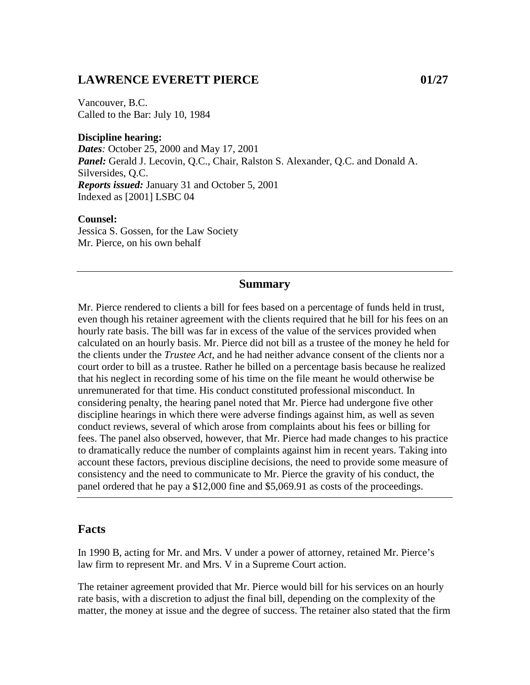## **LAWRENCE EVERETT PIERCE 01/27**

Vancouver, B.C. Called to the Bar: July 10, 1984

### **Discipline hearing:**

*Dates:* October 25, 2000 and May 17, 2001 *Panel:* Gerald J. Lecovin, Q.C., Chair, Ralston S. Alexander, Q.C. and Donald A. Silversides, Q.C. *Reports issued:* January 31 and October 5, 2001 Indexed as [2001] LSBC 04

#### **Counsel:**

Jessica S. Gossen, for the Law Society Mr. Pierce, on his own behalf

### **Summary**

Mr. Pierce rendered to clients a bill for fees based on a percentage of funds held in trust, even though his retainer agreement with the clients required that he bill for his fees on an hourly rate basis. The bill was far in excess of the value of the services provided when calculated on an hourly basis. Mr. Pierce did not bill as a trustee of the money he held for the clients under the *Trustee Act*, and he had neither advance consent of the clients nor a court order to bill as a trustee. Rather he billed on a percentage basis because he realized that his neglect in recording some of his time on the file meant he would otherwise be unremunerated for that time. His conduct constituted professional misconduct. In considering penalty, the hearing panel noted that Mr. Pierce had undergone five other discipline hearings in which there were adverse findings against him, as well as seven conduct reviews, several of which arose from complaints about his fees or billing for fees. The panel also observed, however, that Mr. Pierce had made changes to his practice to dramatically reduce the number of complaints against him in recent years. Taking into account these factors, previous discipline decisions, the need to provide some measure of consistency and the need to communicate to Mr. Pierce the gravity of his conduct, the panel ordered that he pay a \$12,000 fine and \$5,069.91 as costs of the proceedings.

## **Facts**

In 1990 B, acting for Mr. and Mrs. V under a power of attorney, retained Mr. Pierce's law firm to represent Mr. and Mrs. V in a Supreme Court action.

The retainer agreement provided that Mr. Pierce would bill for his services on an hourly rate basis, with a discretion to adjust the final bill, depending on the complexity of the matter, the money at issue and the degree of success. The retainer also stated that the firm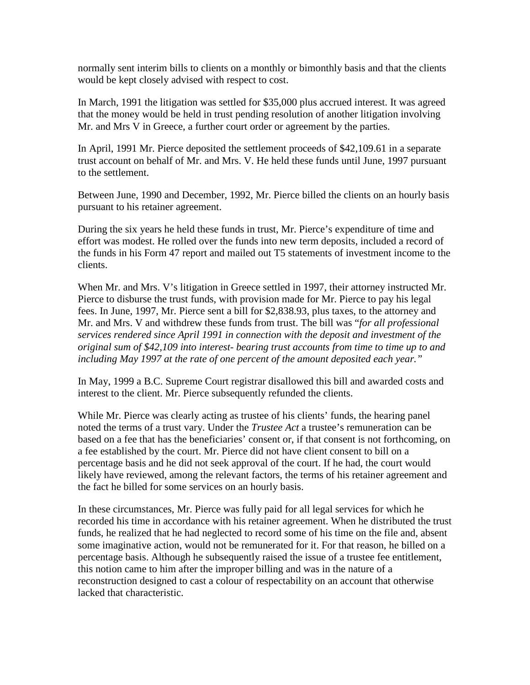normally sent interim bills to clients on a monthly or bimonthly basis and that the clients would be kept closely advised with respect to cost.

In March, 1991 the litigation was settled for \$35,000 plus accrued interest. It was agreed that the money would be held in trust pending resolution of another litigation involving Mr. and Mrs V in Greece, a further court order or agreement by the parties.

In April, 1991 Mr. Pierce deposited the settlement proceeds of \$42,109.61 in a separate trust account on behalf of Mr. and Mrs. V. He held these funds until June, 1997 pursuant to the settlement.

Between June, 1990 and December, 1992, Mr. Pierce billed the clients on an hourly basis pursuant to his retainer agreement.

During the six years he held these funds in trust, Mr. Pierce's expenditure of time and effort was modest. He rolled over the funds into new term deposits, included a record of the funds in his Form 47 report and mailed out T5 statements of investment income to the clients.

When Mr. and Mrs. V's litigation in Greece settled in 1997, their attorney instructed Mr. Pierce to disburse the trust funds, with provision made for Mr. Pierce to pay his legal fees. In June, 1997, Mr. Pierce sent a bill for \$2,838.93, plus taxes, to the attorney and Mr. and Mrs. V and withdrew these funds from trust. The bill was "*for all professional services rendered since April 1991 in connection with the deposit and investment of the original sum of \$42,109 into interest- bearing trust accounts from time to time up to and including May 1997 at the rate of one percent of the amount deposited each year."*

In May, 1999 a B.C. Supreme Court registrar disallowed this bill and awarded costs and interest to the client. Mr. Pierce subsequently refunded the clients.

While Mr. Pierce was clearly acting as trustee of his clients' funds, the hearing panel noted the terms of a trust vary. Under the *Trustee Act* a trustee's remuneration can be based on a fee that has the beneficiaries' consent or, if that consent is not forthcoming, on a fee established by the court. Mr. Pierce did not have client consent to bill on a percentage basis and he did not seek approval of the court. If he had, the court would likely have reviewed, among the relevant factors, the terms of his retainer agreement and the fact he billed for some services on an hourly basis.

In these circumstances, Mr. Pierce was fully paid for all legal services for which he recorded his time in accordance with his retainer agreement. When he distributed the trust funds, he realized that he had neglected to record some of his time on the file and, absent some imaginative action, would not be remunerated for it. For that reason, he billed on a percentage basis. Although he subsequently raised the issue of a trustee fee entitlement, this notion came to him after the improper billing and was in the nature of a reconstruction designed to cast a colour of respectability on an account that otherwise lacked that characteristic.